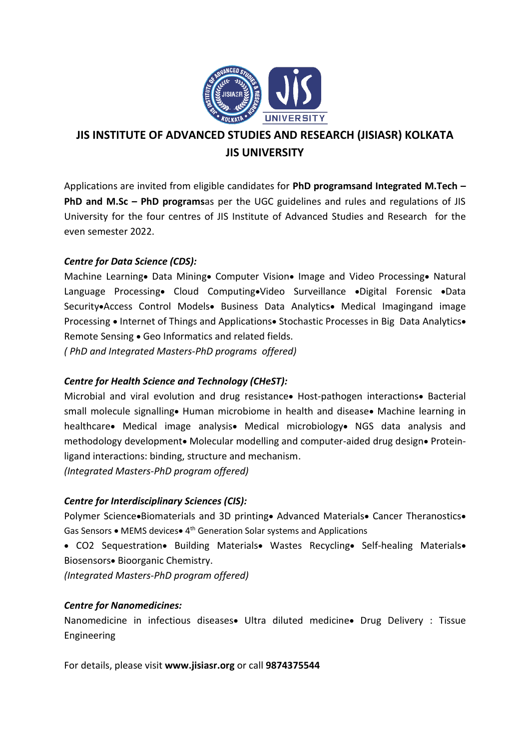

# **JIS INSTITUTE OF ADVANCED STUDIES AND RESEARCH (JISIASR) KOLKATA JIS UNIVERSITY**

Applications are invited from eligible candidates for **PhD programsand Integrated M.Tech – PhD and M.Sc – PhD programs**as per the UGC guidelines and rules and regulations of JIS University for the four centres of JIS Institute of Advanced Studies and Research for the even semester 2022.

## *Centre for Data Science (CDS):*

Machine Learning• Data Mining• Computer Vision• Image and Video Processing• Natural Language Processing• Cloud Computing•Video Surveillance •Digital Forensic •Data Security•Access Control Models• Business Data Analytics• Medical Imagingand image Processing • Internet of Things and Applications• Stochastic Processes in Big Data Analytics• Remote Sensing • Geo Informatics and related fields.

*( PhD and Integrated Masters-PhD programs offered)*

## *Centre for Health Science and Technology (CHeST):*

Microbial and viral evolution and drug resistance• Host-pathogen interactions• Bacterial small molecule signalling• Human microbiome in health and disease• Machine learning in healthcare• Medical image analysis• Medical microbiology• NGS data analysis and methodology development• Molecular modelling and computer-aided drug design• Proteinligand interactions: binding, structure and mechanism.

*(Integrated Masters-PhD program offered)*

## *Centre for Interdisciplinary Sciences (CIS):*

Polymer Science•Biomaterials and 3D printing• Advanced Materials• Cancer Theranostics• Gas Sensors • MEMS devices• 4<sup>th</sup> Generation Solar systems and Applications

• CO2 Sequestration• Building Materials• Wastes Recycling• Self-healing Materials• Biosensors• Bioorganic Chemistry.

*(Integrated Masters-PhD program offered)*

## *Centre for Nanomedicines:*

Nanomedicine in infectious diseases• Ultra diluted medicine• Drug Delivery : Tissue Engineering

For details, please visit **www.jisiasr.org** or call **9874375544**